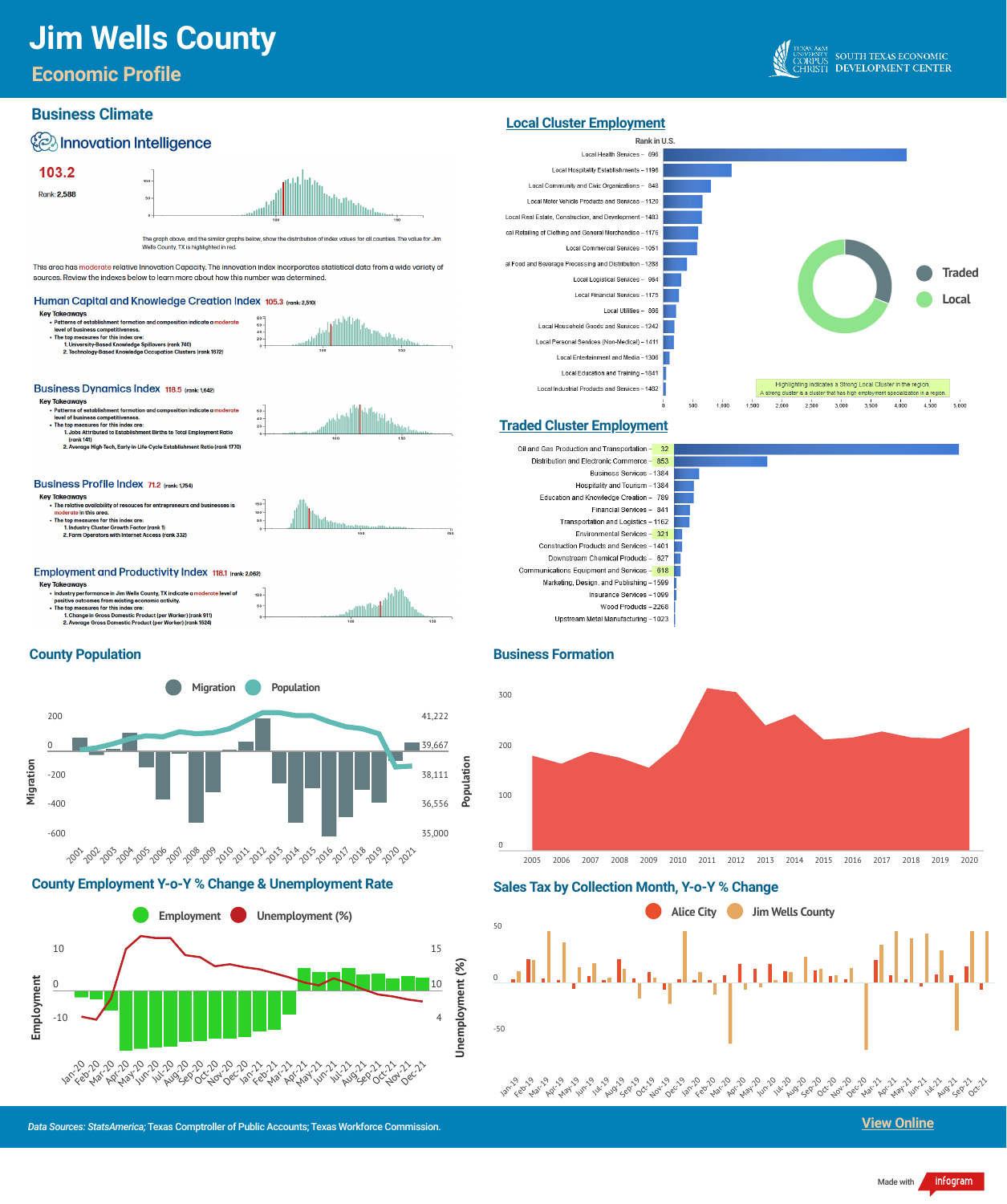# **Jim Wells County**

**Sales Tax by Collection Month, Y-o-Y % Change**



#### **County Employment Y-o-Y % Change & Unemployment Rate**

*Data Sources: StatsAmerica;* Texas Comptroller of Public Accounts; Texas Workforce Commission.

### **Economic Profile**







0

2005 2006 2007 2008 2009 2010 2011 2012 2013 2014 2015 2016 2017 2018 2019 2020



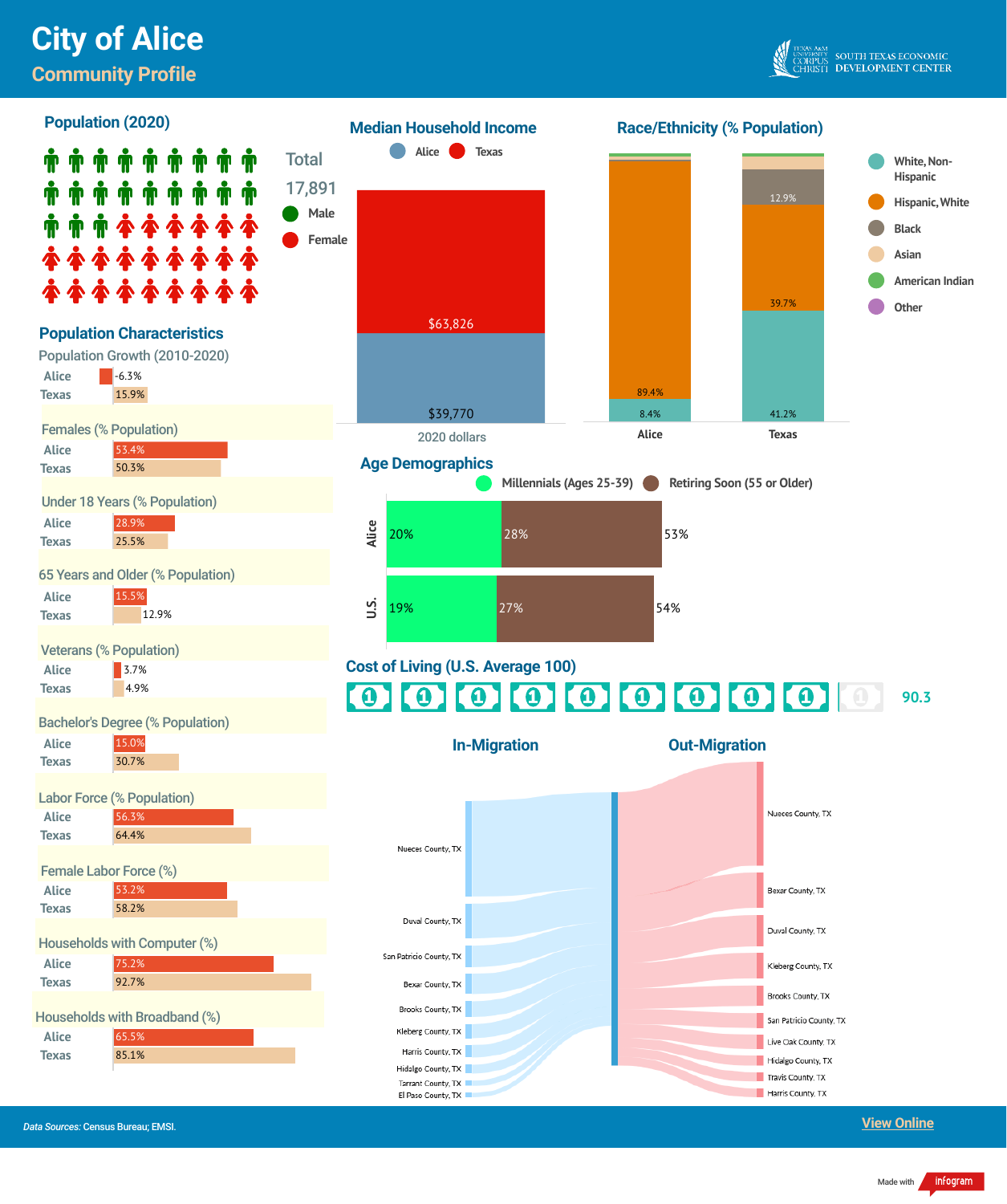## **Community Profile**



**Alice**



53.2%









Bexar County, TX